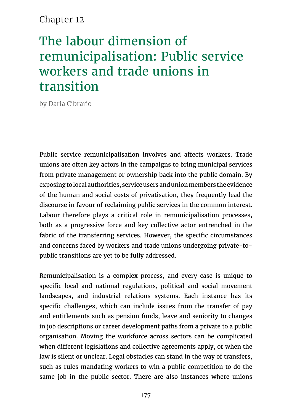### Chapter 12

# The labour dimension of remunicipalisation: Public service workers and trade unions in transition

by Daria Cibrario

Public service remunicipalisation involves and affects workers. Trade unions are often key actors in the campaigns to bring municipal services from private management or ownership back into the public domain. By exposing to local authorities, service users and union members the evidence of the human and social costs of privatisation, they frequently lead the discourse in favour of reclaiming public services in the common interest. Labour therefore plays a critical role in remunicipalisation processes, both as a progressive force and key collective actor entrenched in the fabric of the transferring services. However, the specific circumstances and concerns faced by workers and trade unions undergoing private-topublic transitions are yet to be fully addressed.

Remunicipalisation is a complex process, and every case is unique to specific local and national regulations, political and social movement landscapes, and industrial relations systems. Each instance has its specific challenges, which can include issues from the transfer of pay and entitlements such as pension funds, leave and seniority to changes in job descriptions or career development paths from a private to a public organisation. Moving the workforce across sectors can be complicated when different legislations and collective agreements apply, or when the law is silent or unclear. Legal obstacles can stand in the way of transfers, such as rules mandating workers to win a public competition to do the same job in the public sector. There are also instances where unions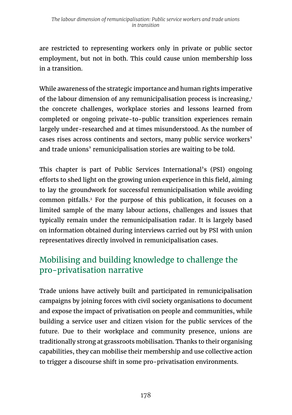are restricted to representing workers only in private or public sector employment, but not in both. This could cause union membership loss in a transition.

While awareness of the strategic importance and human rights imperative of the labour dimension of any remunicipalisation process is increasing,<sup>1</sup> the concrete challenges, workplace stories and lessons learned from completed or ongoing private-to-public transition experiences remain largely under-researched and at times misunderstood. As the number of cases rises across continents and sectors, many public service workers' and trade unions' remunicipalisation stories are waiting to be told.

This chapter is part of Public Services International's (PSI) ongoing efforts to shed light on the growing union experience in this field, aiming to lay the groundwork for successful remunicipalisation while avoiding common pitfalls.2 For the purpose of this publication, it focuses on a limited sample of the many labour actions, challenges and issues that typically remain under the remunicipalisation radar. It is largely based on information obtained during interviews carried out by PSI with union representatives directly involved in remunicipalisation cases.

## Mobilising and building knowledge to challenge the pro-privatisation narrative

Trade unions have actively built and participated in remunicipalisation campaigns by joining forces with civil society organisations to document and expose the impact of privatisation on people and communities, while building a service user and citizen vision for the public services of the future. Due to their workplace and community presence, unions are traditionally strong at grassroots mobilisation. Thanks to their organising capabilities, they can mobilise their membership and use collective action to trigger a discourse shift in some pro-privatisation environments.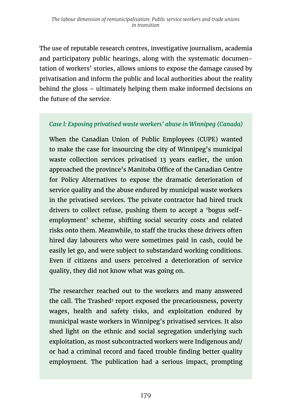The use of reputable research centres, investigative journalism, academia and participatory public hearings, along with the systematic documentation of workers' stories, allows unions to expose the damage caused by privatisation and inform the public and local authorities about the reality behind the gloss – ultimately helping them make informed decisions on the future of the service.

### *Case l: Exposing privatised waste workers' abuse in Winnipeg (Canada)*

When the Canadian Union of Public Employees (CUPE) wanted to make the case for insourcing the city of Winnipeg's municipal waste collection services privatised 13 years earlier, the union approached the province's Manitoba Office of the Canadian Centre for Policy Alternatives to expose the dramatic deterioration of service quality and the abuse endured by municipal waste workers in the privatised services. The private contractor had hired truck drivers to collect refuse, pushing them to accept a 'bogus selfemployment' scheme, shifting social security costs and related risks onto them. Meanwhile, to staff the trucks these drivers often hired day labourers who were sometimes paid in cash, could be easily let go, and were subject to substandard working conditions. Even if citizens and users perceived a deterioration of service quality, they did not know what was going on.

The researcher reached out to the workers and many answered the call. The Trashed<sup>3</sup> report exposed the precariousness, poverty wages, health and safety risks, and exploitation endured by municipal waste workers in Winnipeg's privatised services. It also shed light on the ethnic and social segregation underlying such exploitation, as most subcontracted workers were Indigenous and/ or had a criminal record and faced trouble finding better quality employment. The publication had a serious impact, prompting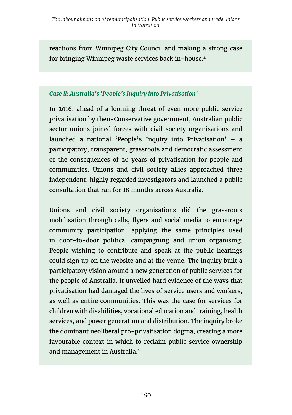reactions from Winnipeg City Council and making a strong case for bringing Winnipeg waste services back in-house.4

#### *Case ll: Australia's 'People's Inquiry into Privatisation'*

In 2016, ahead of a looming threat of even more public service privatisation by then-Conservative government, Australian public sector unions joined forces with civil society organisations and launched a national 'People's Inquiry into Privatisation' – a participatory, transparent, grassroots and democratic assessment of the consequences of 20 years of privatisation for people and communities. Unions and civil society allies approached three independent, highly regarded investigators and launched a public consultation that ran for 18 months across Australia.

Unions and civil society organisations did the grassroots mobilisation through calls, flyers and social media to encourage community participation, applying the same principles used in door-to-door political campaigning and union organising. People wishing to contribute and speak at the public hearings could sign up on the website and at the venue. The inquiry built a participatory vision around a new generation of public services for the people of Australia. It unveiled hard evidence of the ways that privatisation had damaged the lives of service users and workers, as well as entire communities. This was the case for services for children with disabilities, vocational education and training, health services, and power generation and distribution. The inquiry broke the dominant neoliberal pro-privatisation dogma, creating a more favourable context in which to reclaim public service ownership and management in Australia.<sup>5</sup>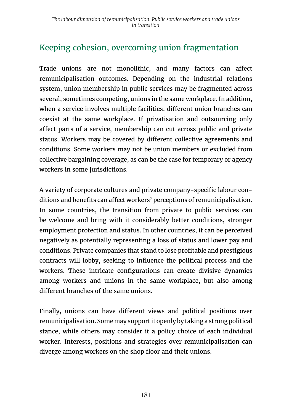## Keeping cohesion, overcoming union fragmentation

Trade unions are not monolithic, and many factors can affect remunicipalisation outcomes. Depending on the industrial relations system, union membership in public services may be fragmented across several, sometimes competing, unions in the same workplace. In addition, when a service involves multiple facilities, different union branches can coexist at the same workplace. If privatisation and outsourcing only affect parts of a service, membership can cut across public and private status. Workers may be covered by different collective agreements and conditions. Some workers may not be union members or excluded from collective bargaining coverage, as can be the case for temporary or agency workers in some jurisdictions.

A variety of corporate cultures and private company-specific labour conditions and benefits can affect workers' perceptions of remunicipalisation. In some countries, the transition from private to public services can be welcome and bring with it considerably better conditions, stronger employment protection and status. In other countries, it can be perceived negatively as potentially representing a loss of status and lower pay and conditions. Private companies that stand to lose profitable and prestigious contracts will lobby, seeking to influence the political process and the workers. These intricate configurations can create divisive dynamics among workers and unions in the same workplace, but also among different branches of the same unions.

Finally, unions can have different views and political positions over remunicipalisation. Some may support it openly by taking a strong political stance, while others may consider it a policy choice of each individual worker. Interests, positions and strategies over remunicipalisation can diverge among workers on the shop floor and their unions.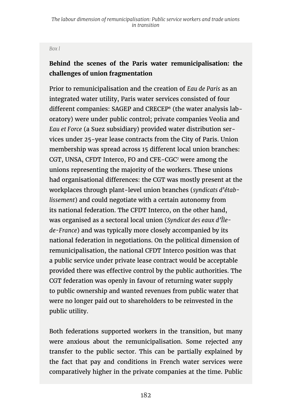#### *Box l*

### **Behind the scenes of the Paris water remunicipalisation: the challenges of union fragmentation**

Prior to remunicipalisation and the creation of *Eau de Paris* as an integrated water utility, Paris water services consisted of four different companies: SAGEP and CRECEP6 (the water analysis laboratory) were under public control; private companies Veolia and *Eau et Force* (a Suez subsidiary) provided water distribution services under 25-year lease contracts from the City of Paris. Union membership was spread across 15 different local union branches: CGT, UNSA, CFDT Interco, FO and CFE-CGC7 were among the unions representing the majority of the workers. These unions had organisational differences: the CGT was mostly present at the workplaces through plant-level union branches (*syndicats d'établissement*) and could negotiate with a certain autonomy from its national federation. The CFDT Interco, on the other hand, was organised as a sectoral local union (*Syndicat des eaux d'Îlede-France*) and was typically more closely accompanied by its national federation in negotiations. On the political dimension of remunicipalisation, the national CFDT Interco position was that a public service under private lease contract would be acceptable provided there was effective control by the public authorities. The CGT federation was openly in favour of returning water supply to public ownership and wanted revenues from public water that were no longer paid out to shareholders to be reinvested in the public utility.

Both federations supported workers in the transition, but many were anxious about the remunicipalisation. Some rejected any transfer to the public sector. This can be partially explained by the fact that pay and conditions in French water services were comparatively higher in the private companies at the time. Public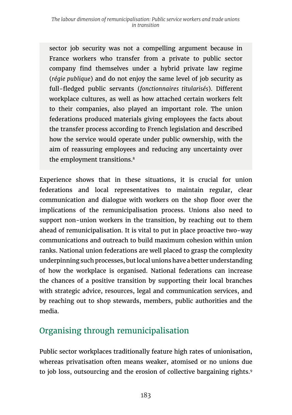sector job security was not a compelling argument because in France workers who transfer from a private to public sector company find themselves under a hybrid private law regime (*régie publique*) and do not enjoy the same level of job security as full-fledged public servants (*fonctionnaires titularisés*). Different workplace cultures, as well as how attached certain workers felt to their companies, also played an important role. The union federations produced materials giving employees the facts about the transfer process according to French legislation and described how the service would operate under public ownership, with the aim of reassuring employees and reducing any uncertainty over the employment transitions.<sup>8</sup>

Experience shows that in these situations, it is crucial for union federations and local representatives to maintain regular, clear communication and dialogue with workers on the shop floor over the implications of the remunicipalisation process. Unions also need to support non-union workers in the transition, by reaching out to them ahead of remunicipalisation. It is vital to put in place proactive two-way communications and outreach to build maximum cohesion within union ranks. National union federations are well placed to grasp the complexity underpinning such processes, but local unions have a better understanding of how the workplace is organised. National federations can increase the chances of a positive transition by supporting their local branches with strategic advice, resources, legal and communication services, and by reaching out to shop stewards, members, public authorities and the media.

## Organising through remunicipalisation

Public sector workplaces traditionally feature high rates of unionisation, whereas privatisation often means weaker, atomised or no unions due to job loss, outsourcing and the erosion of collective bargaining rights.9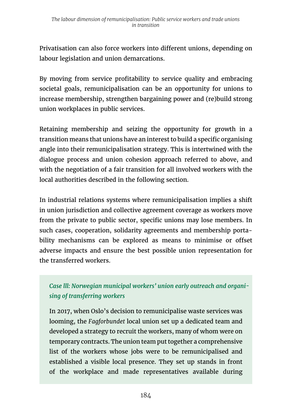Privatisation can also force workers into different unions, depending on labour legislation and union demarcations.

By moving from service profitability to service quality and embracing societal goals, remunicipalisation can be an opportunity for unions to increase membership, strengthen bargaining power and (re)build strong union workplaces in public services.

Retaining membership and seizing the opportunity for growth in a transition means that unions have an interest to build a specific organising angle into their remunicipalisation strategy. This is intertwined with the dialogue process and union cohesion approach referred to above, and with the negotiation of a fair transition for all involved workers with the local authorities described in the following section.

In industrial relations systems where remunicipalisation implies a shift in union jurisdiction and collective agreement coverage as workers move from the private to public sector, specific unions may lose members. In such cases, cooperation, solidarity agreements and membership portability mechanisms can be explored as means to minimise or offset adverse impacts and ensure the best possible union representation for the transferred workers.

### *Case lll: Norwegian municipal workers' union early outreach and organising of transferring workers*

In 2017, when Oslo's decision to remunicipalise waste services was looming, the *Fagforbundet* local union set up a dedicated team and developed a strategy to recruit the workers, many of whom were on temporary contracts. The union team put together a comprehensive list of the workers whose jobs were to be remunicipalised and established a visible local presence. They set up stands in front of the workplace and made representatives available during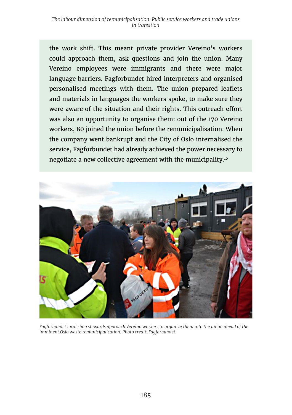the work shift. This meant private provider Vereino's workers could approach them, ask questions and join the union. Many Vereino employees were immigrants and there were major language barriers. Fagforbundet hired interpreters and organised personalised meetings with them. The union prepared leaflets and materials in languages the workers spoke, to make sure they were aware of the situation and their rights. This outreach effort was also an opportunity to organise them: out of the 170 Vereino workers, 80 joined the union before the remunicipalisation. When the company went bankrupt and the City of Oslo internalised the service, Fagforbundet had already achieved the power necessary to negotiate a new collective agreement with the municipality.10



*Fagforbundet local shop stewards approach Vereino workers to organize them into the union ahead of the imminent Oslo waste remunicipalisation. Photo credit: Fagforbundet*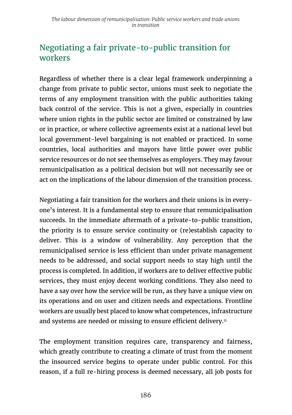## Negotiating a fair private-to-public transition for workers

Regardless of whether there is a clear legal framework underpinning a change from private to public sector, unions must seek to negotiate the terms of any employment transition with the public authorities taking back control of the service. This is not a given, especially in countries where union rights in the public sector are limited or constrained by law or in practice, or where collective agreements exist at a national level but local government-level bargaining is not enabled or practiced. In some countries, local authorities and mayors have little power over public service resources or do not see themselves as employers. They may favour remunicipalisation as a political decision but will not necessarily see or act on the implications of the labour dimension of the transition process.

Negotiating a fair transition for the workers and their unions is in everyone's interest. It is a fundamental step to ensure that remunicipalisation succeeds. In the immediate aftermath of a private-to-public transition, the priority is to ensure service continuity or (re)establish capacity to deliver. This is a window of vulnerability. Any perception that the remunicipalised service is less efficient than under private management needs to be addressed, and social support needs to stay high until the process is completed. In addition, if workers are to deliver effective public services, they must enjoy decent working conditions. They also need to have a say over how the service will be run, as they have a unique view on its operations and on user and citizen needs and expectations. Frontline workers are usually best placed to know what competences, infrastructure and systems are needed or missing to ensure efficient delivery.<sup>11</sup>

The employment transition requires care, transparency and fairness, which greatly contribute to creating a climate of trust from the moment the insourced service begins to operate under public control. For this reason, if a full re-hiring process is deemed necessary, all job posts for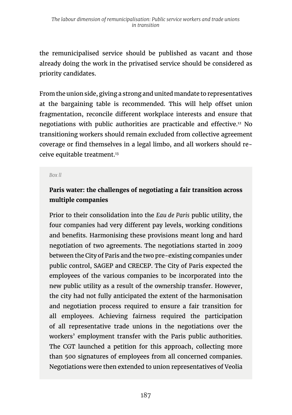the remunicipalised service should be published as vacant and those already doing the work in the privatised service should be considered as priority candidates.

From the union side, giving a strong and united mandate to representatives at the bargaining table is recommended. This will help offset union fragmentation, reconcile different workplace interests and ensure that negotiations with public authorities are practicable and effective.12 No transitioning workers should remain excluded from collective agreement coverage or find themselves in a legal limbo, and all workers should receive equitable treatment.13

#### *Box ll*

### **Paris water: the challenges of negotiating a fair transition across multiple companies**

Prior to their consolidation into the *Eau de Paris* public utility, the four companies had very different pay levels, working conditions and benefits. Harmonising these provisions meant long and hard negotiation of two agreements. The negotiations started in 2009 between the City of Paris and the two pre-existing companies under public control, SAGEP and CRECEP. The City of Paris expected the employees of the various companies to be incorporated into the new public utility as a result of the ownership transfer. However, the city had not fully anticipated the extent of the harmonisation and negotiation process required to ensure a fair transition for all employees. Achieving fairness required the participation of all representative trade unions in the negotiations over the workers' employment transfer with the Paris public authorities. The CGT launched a petition for this approach, collecting more than 500 signatures of employees from all concerned companies. Negotiations were then extended to union representatives of Veolia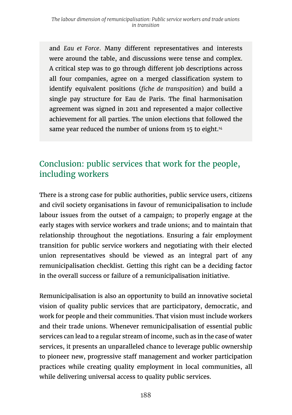and *Eau et Force*. Many different representatives and interests were around the table, and discussions were tense and complex. A critical step was to go through different job descriptions across all four companies, agree on a merged classification system to identify equivalent positions (*fiche de transposition*) and build a single pay structure for Eau de Paris. The final harmonisation agreement was signed in 2011 and represented a major collective achievement for all parties. The union elections that followed the same year reduced the number of unions from 15 to eight.<sup>14</sup>

## Conclusion: public services that work for the people, including workers

There is a strong case for public authorities, public service users, citizens and civil society organisations in favour of remunicipalisation to include labour issues from the outset of a campaign; to properly engage at the early stages with service workers and trade unions; and to maintain that relationship throughout the negotiations. Ensuring a fair employment transition for public service workers and negotiating with their elected union representatives should be viewed as an integral part of any remunicipalisation checklist. Getting this right can be a deciding factor in the overall success or failure of a remunicipalisation initiative.

Remunicipalisation is also an opportunity to build an innovative societal vision of quality public services that are participatory, democratic, and work for people and their communities. That vision must include workers and their trade unions. Whenever remunicipalisation of essential public services can lead to a regular stream of income, such as in the case of water services, it presents an unparalleled chance to leverage public ownership to pioneer new, progressive staff management and worker participation practices while creating quality employment in local communities, all while delivering universal access to quality public services.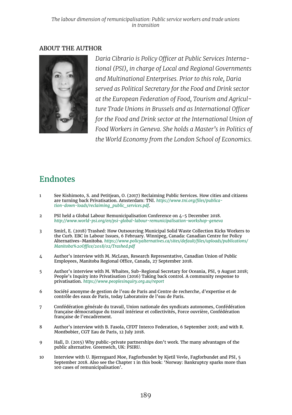#### ABOUT THE AUTHOR



*Daria Cibrario is Policy Officer at Public Services International (PSI), in charge of Local and Regional Governments and Multinational Enterprises. Prior to this role, Daria served as Political Secretary for the Food and Drink sector at the European Federation of Food, Tourism and Agriculture Trade Unions in Brussels and as International Officer for the Food and Drink sector at the International Union of Food Workers in Geneva. She holds a Master's in Politics of the World Economy from the London School of Economics.*

### Endnotes

- 1 See Kishimoto, S. and Petitjean, O. (2017) Reclaiming Public Services. How cities and citizens are turning back Privatisation. Amsterdam: TNI. *[https://www.tni.org/files/publica](https://www.tni.org/en/search/language/en?search=files%20publication%20down%20loads%20reclaiming%20public%20services%20pdf)[tion-down-loads/reclaiming\\_public\\_services.pdf](https://www.tni.org/en/search/language/en?search=files%20publication%20down%20loads%20reclaiming%20public%20services%20pdf)*.
- 2 PSI held a Global Labour Remunicipalisation Conference on 4-5 December 2018. *<http://www.world-psi.org/en/psi-global-labour-remunicipalisation-workshop-geneva>*
- 3 Smirl, E. (2018) Trashed: How Outsourcing Municipal Solid Waste Collection Kicks Workers to the Curb. EBC in Labour Issues, 6 February. Winnipeg, Canada: Canadian Centre for Policy Alternatives-Manitoba. *[https://www.policyalternatives.ca/sites/default/files/uploads/publications/](https://www.policyalternatives.ca/sites/default/files/uploads/publications/Manitoba%20Office/2018/02/Trashed.pdf) [Manitoba%20Office/2018/02/Trashed.pdf](https://www.policyalternatives.ca/sites/default/files/uploads/publications/Manitoba%20Office/2018/02/Trashed.pdf)*
- 4 Author's interview with M. McLean, Research Representative, Canadian Union of Public Employees, Manitoba Regional Office, Canada, 27 September 2018.
- 5 Author's interview with M. Whaites, Sub-Regional Secretary for Oceania, PSI, 9 August 2018; People's Inquiry into Privatisation (2016) Taking back control. A community response to privatisation. *<https://www.peoplesinquiry.org.au/report>*
- 6 Société anonyme de gestion de l'eau de Paris and Centre de recherche, d'expertise et de contrôle des eaux de Paris, today Laboratoire de l'eau de Paris.
- 7 Confédération générale du travail, Union nationale des syndicats autonomes, Confédération française démocratique du travail intérieur et collectivités, Force ouvrière, Confédération française de l'encadrement.
- 8 Author's interview with B. Fasola, CFDT Interco Federation, 6 September 2018; and with R. Montbobier, CGT Eau de Paris, 12 July 2018.
- 9 Hall, D. (2015) Why public-private partnerships don't work. The many advantages of the public alternative. Greenwich, UK: PSIRU.
- 10 Interview with U. Bjerregaard Moe, Fagforbundet by Kjetil Vevle, Fagforbundet and PSI, 5 September 2018. Also see the Chapter 1 in this book: 'Norway: Bankruptcy sparks more than 100 cases of remunicipalisation'.